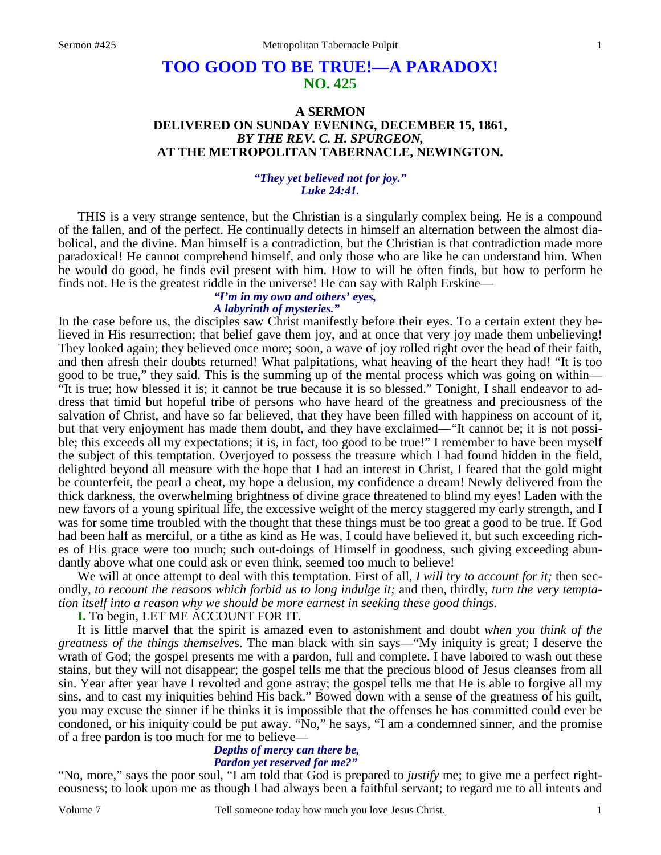# **TOO GOOD TO BE TRUE!—A PARADOX! NO. 425**

# **A SERMON DELIVERED ON SUNDAY EVENING, DECEMBER 15, 1861,**  *BY THE REV. C. H. SPURGEON,*  **AT THE METROPOLITAN TABERNACLE, NEWINGTON.**

## *"They yet believed not for joy." Luke 24:41.*

THIS is a very strange sentence, but the Christian is a singularly complex being. He is a compound of the fallen, and of the perfect. He continually detects in himself an alternation between the almost diabolical, and the divine. Man himself is a contradiction, but the Christian is that contradiction made more paradoxical! He cannot comprehend himself, and only those who are like he can understand him. When he would do good, he finds evil present with him. How to will he often finds, but how to perform he finds not. He is the greatest riddle in the universe! He can say with Ralph Erskine—

## *"I'm in my own and others' eyes, A labyrinth of mysteries."*

In the case before us, the disciples saw Christ manifestly before their eyes. To a certain extent they believed in His resurrection; that belief gave them joy, and at once that very joy made them unbelieving! They looked again; they believed once more; soon, a wave of joy rolled right over the head of their faith, and then afresh their doubts returned! What palpitations, what heaving of the heart they had! "It is too good to be true," they said. This is the summing up of the mental process which was going on within— "It is true; how blessed it is; it cannot be true because it is so blessed." Tonight, I shall endeavor to address that timid but hopeful tribe of persons who have heard of the greatness and preciousness of the salvation of Christ, and have so far believed, that they have been filled with happiness on account of it, but that very enjoyment has made them doubt, and they have exclaimed—"It cannot be; it is not possible; this exceeds all my expectations; it is, in fact, too good to be true!" I remember to have been myself the subject of this temptation. Overjoyed to possess the treasure which I had found hidden in the field, delighted beyond all measure with the hope that I had an interest in Christ, I feared that the gold might be counterfeit, the pearl a cheat, my hope a delusion, my confidence a dream! Newly delivered from the thick darkness, the overwhelming brightness of divine grace threatened to blind my eyes! Laden with the new favors of a young spiritual life, the excessive weight of the mercy staggered my early strength, and I was for some time troubled with the thought that these things must be too great a good to be true. If God had been half as merciful, or a tithe as kind as He was, I could have believed it, but such exceeding riches of His grace were too much; such out-doings of Himself in goodness, such giving exceeding abundantly above what one could ask or even think, seemed too much to believe!

We will at once attempt to deal with this temptation. First of all, *I will try to account for it*; then secondly, *to recount the reasons which forbid us to long indulge it;* and then, thirdly, *turn the very temptation itself into a reason why we should be more earnest in seeking these good things.*

**I.** To begin, LET ME ACCOUNT FOR IT.

It is little marvel that the spirit is amazed even to astonishment and doubt *when you think of the greatness of the things themselve*s. The man black with sin says—"My iniquity is great; I deserve the wrath of God; the gospel presents me with a pardon, full and complete. I have labored to wash out these stains, but they will not disappear; the gospel tells me that the precious blood of Jesus cleanses from all sin. Year after year have I revolted and gone astray; the gospel tells me that He is able to forgive all my sins, and to cast my iniquities behind His back." Bowed down with a sense of the greatness of his guilt, you may excuse the sinner if he thinks it is impossible that the offenses he has committed could ever be condoned, or his iniquity could be put away. "No," he says, "I am a condemned sinner, and the promise of a free pardon is too much for me to believe—

#### *Depths of mercy can there be, Pardon yet reserved for me?"*

"No, more," says the poor soul, "I am told that God is prepared to *justify* me; to give me a perfect righteousness; to look upon me as though I had always been a faithful servant; to regard me to all intents and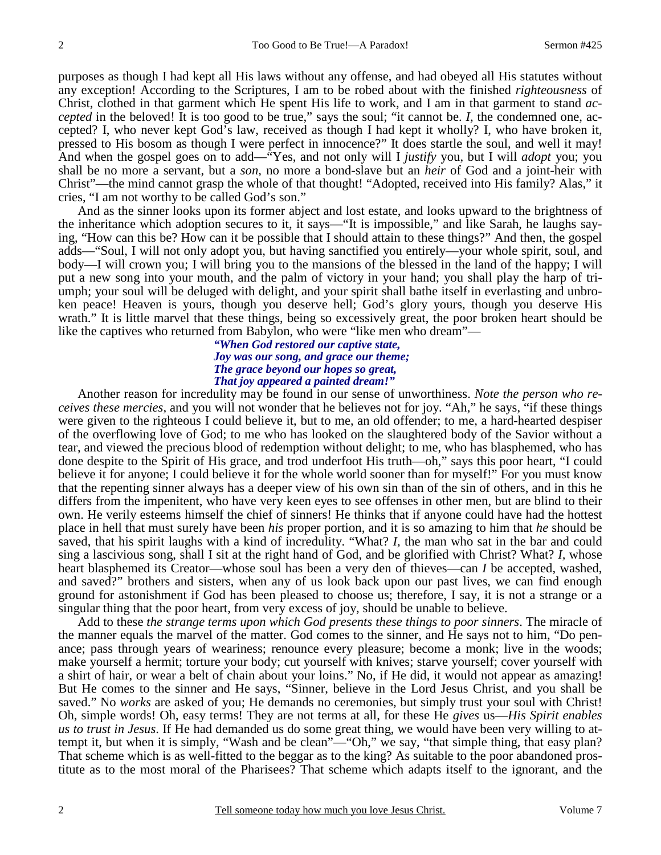purposes as though I had kept all His laws without any offense, and had obeyed all His statutes without any exception! According to the Scriptures, I am to be robed about with the finished *righteousness* of Christ, clothed in that garment which He spent His life to work, and I am in that garment to stand *accepted* in the beloved! It is too good to be true," says the soul; "it cannot be. *I,* the condemned one, accepted? I, who never kept God's law, received as though I had kept it wholly? I, who have broken it, pressed to His bosom as though I were perfect in innocence?" It does startle the soul, and well it may! And when the gospel goes on to add—"Yes, and not only will I *justify* you, but I will *adopt* you; you shall be no more a servant, but a *son,* no more a bond-slave but an *heir* of God and a joint-heir with Christ"—the mind cannot grasp the whole of that thought! "Adopted, received into His family? Alas," it cries, "I am not worthy to be called God's son."

And as the sinner looks upon its former abject and lost estate, and looks upward to the brightness of the inheritance which adoption secures to it, it says—"It is impossible," and like Sarah, he laughs saying, "How can this be? How can it be possible that I should attain to these things?" And then, the gospel adds—"Soul, I will not only adopt you, but having sanctified you entirely—your whole spirit, soul, and body—I will crown you; I will bring you to the mansions of the blessed in the land of the happy; I will put a new song into your mouth, and the palm of victory in your hand; you shall play the harp of triumph; your soul will be deluged with delight, and your spirit shall bathe itself in everlasting and unbroken peace! Heaven is yours, though you deserve hell; God's glory yours, though you deserve His wrath." It is little marvel that these things, being so excessively great, the poor broken heart should be like the captives who returned from Babylon, who were "like men who dream"—

## *"When God restored our captive state, Joy was our song, and grace our theme; The grace beyond our hopes so great, That joy appeared a painted dream!"*

Another reason for incredulity may be found in our sense of unworthiness. *Note the person who receives these mercies,* and you will not wonder that he believes not for joy. "Ah," he says, "if these things were given to the righteous I could believe it, but to me, an old offender; to me, a hard-hearted despiser of the overflowing love of God; to me who has looked on the slaughtered body of the Savior without a tear, and viewed the precious blood of redemption without delight; to me, who has blasphemed, who has done despite to the Spirit of His grace, and trod underfoot His truth—oh," says this poor heart, "I could believe it for anyone; I could believe it for the whole world sooner than for myself!" For you must know that the repenting sinner always has a deeper view of his own sin than of the sin of others, and in this he differs from the impenitent, who have very keen eyes to see offenses in other men, but are blind to their own. He verily esteems himself the chief of sinners! He thinks that if anyone could have had the hottest place in hell that must surely have been *his* proper portion, and it is so amazing to him that *he* should be saved, that his spirit laughs with a kind of incredulity. "What? *I,* the man who sat in the bar and could sing a lascivious song, shall I sit at the right hand of God, and be glorified with Christ? What? *I,* whose heart blasphemed its Creator—whose soul has been a very den of thieves—can *I* be accepted, washed, and saved?" brothers and sisters, when any of us look back upon our past lives, we can find enough ground for astonishment if God has been pleased to choose us; therefore, I say, it is not a strange or a singular thing that the poor heart, from very excess of joy, should be unable to believe.

Add to these *the strange terms upon which God presents these things to poor sinners*. The miracle of the manner equals the marvel of the matter. God comes to the sinner, and He says not to him, "Do penance; pass through years of weariness; renounce every pleasure; become a monk; live in the woods; make yourself a hermit; torture your body; cut yourself with knives; starve yourself; cover yourself with a shirt of hair, or wear a belt of chain about your loins." No, if He did, it would not appear as amazing! But He comes to the sinner and He says, "Sinner, believe in the Lord Jesus Christ, and you shall be saved." No *works* are asked of you; He demands no ceremonies, but simply trust your soul with Christ! Oh, simple words! Oh, easy terms! They are not terms at all, for these He *gives* us—*His Spirit enables us to trust in Jesus*. If He had demanded us do some great thing, we would have been very willing to attempt it, but when it is simply, "Wash and be clean"—"Oh," we say, "that simple thing, that easy plan? That scheme which is as well-fitted to the beggar as to the king? As suitable to the poor abandoned prostitute as to the most moral of the Pharisees? That scheme which adapts itself to the ignorant, and the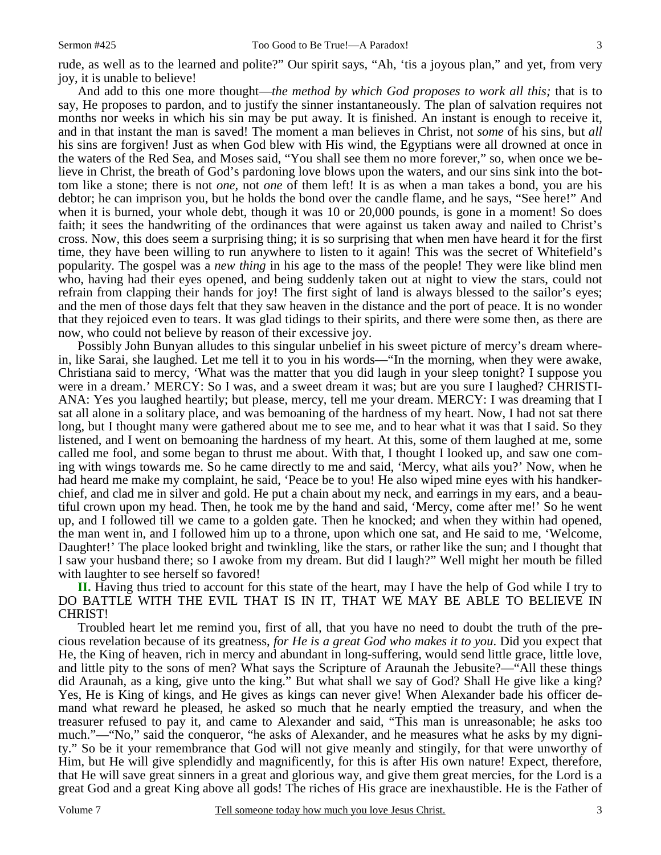rude, as well as to the learned and polite?" Our spirit says, "Ah, 'tis a joyous plan," and yet, from very joy, it is unable to believe!

And add to this one more thought—*the method by which God proposes to work all this;* that is to say, He proposes to pardon, and to justify the sinner instantaneously. The plan of salvation requires not months nor weeks in which his sin may be put away. It is finished. An instant is enough to receive it, and in that instant the man is saved! The moment a man believes in Christ, not *some* of his sins, but *all*  his sins are forgiven! Just as when God blew with His wind, the Egyptians were all drowned at once in the waters of the Red Sea, and Moses said, "You shall see them no more forever," so, when once we believe in Christ, the breath of God's pardoning love blows upon the waters, and our sins sink into the bottom like a stone; there is not *one,* not *one* of them left! It is as when a man takes a bond, you are his debtor; he can imprison you, but he holds the bond over the candle flame, and he says, "See here!" And when it is burned, your whole debt, though it was 10 or 20,000 pounds, is gone in a moment! So does faith; it sees the handwriting of the ordinances that were against us taken away and nailed to Christ's cross. Now, this does seem a surprising thing; it is so surprising that when men have heard it for the first time, they have been willing to run anywhere to listen to it again! This was the secret of Whitefield's popularity. The gospel was a *new thing* in his age to the mass of the people! They were like blind men who, having had their eyes opened, and being suddenly taken out at night to view the stars, could not refrain from clapping their hands for joy! The first sight of land is always blessed to the sailor's eyes; and the men of those days felt that they saw heaven in the distance and the port of peace. It is no wonder that they rejoiced even to tears. It was glad tidings to their spirits, and there were some then, as there are now, who could not believe by reason of their excessive joy.

Possibly John Bunyan alludes to this singular unbelief in his sweet picture of mercy's dream wherein, like Sarai, she laughed. Let me tell it to you in his words—"In the morning, when they were awake, Christiana said to mercy, 'What was the matter that you did laugh in your sleep tonight? I suppose you were in a dream.' MERCY: So I was, and a sweet dream it was; but are you sure I laughed? CHRISTI-ANA: Yes you laughed heartily; but please, mercy, tell me your dream. MERCY: I was dreaming that I sat all alone in a solitary place, and was bemoaning of the hardness of my heart. Now, I had not sat there long, but I thought many were gathered about me to see me, and to hear what it was that I said. So they listened, and I went on bemoaning the hardness of my heart. At this, some of them laughed at me, some called me fool, and some began to thrust me about. With that, I thought I looked up, and saw one coming with wings towards me. So he came directly to me and said, 'Mercy, what ails you?' Now, when he had heard me make my complaint, he said, 'Peace be to you! He also wiped mine eyes with his handkerchief, and clad me in silver and gold. He put a chain about my neck, and earrings in my ears, and a beautiful crown upon my head. Then, he took me by the hand and said, 'Mercy, come after me!' So he went up, and I followed till we came to a golden gate. Then he knocked; and when they within had opened, the man went in, and I followed him up to a throne, upon which one sat, and He said to me, 'Welcome, Daughter!' The place looked bright and twinkling, like the stars, or rather like the sun; and I thought that I saw your husband there; so I awoke from my dream. But did I laugh?" Well might her mouth be filled with laughter to see herself so favored!

**II.** Having thus tried to account for this state of the heart, may I have the help of God while I try to DO BATTLE WITH THE EVIL THAT IS IN IT, THAT WE MAY BE ABLE TO BELIEVE IN CHRIST!

Troubled heart let me remind you, first of all, that you have no need to doubt the truth of the precious revelation because of its greatness, *for He is a great God who makes it to you*. Did you expect that He, the King of heaven, rich in mercy and abundant in long-suffering, would send little grace, little love, and little pity to the sons of men? What says the Scripture of Araunah the Jebusite?—"All these things did Araunah, as a king, give unto the king." But what shall we say of God? Shall He give like a king? Yes, He is King of kings, and He gives as kings can never give! When Alexander bade his officer demand what reward he pleased, he asked so much that he nearly emptied the treasury, and when the treasurer refused to pay it, and came to Alexander and said, "This man is unreasonable; he asks too much."—"No," said the conqueror, "he asks of Alexander, and he measures what he asks by my dignity." So be it your remembrance that God will not give meanly and stingily, for that were unworthy of Him, but He will give splendidly and magnificently, for this is after His own nature! Expect, therefore, that He will save great sinners in a great and glorious way, and give them great mercies, for the Lord is a great God and a great King above all gods! The riches of His grace are inexhaustible. He is the Father of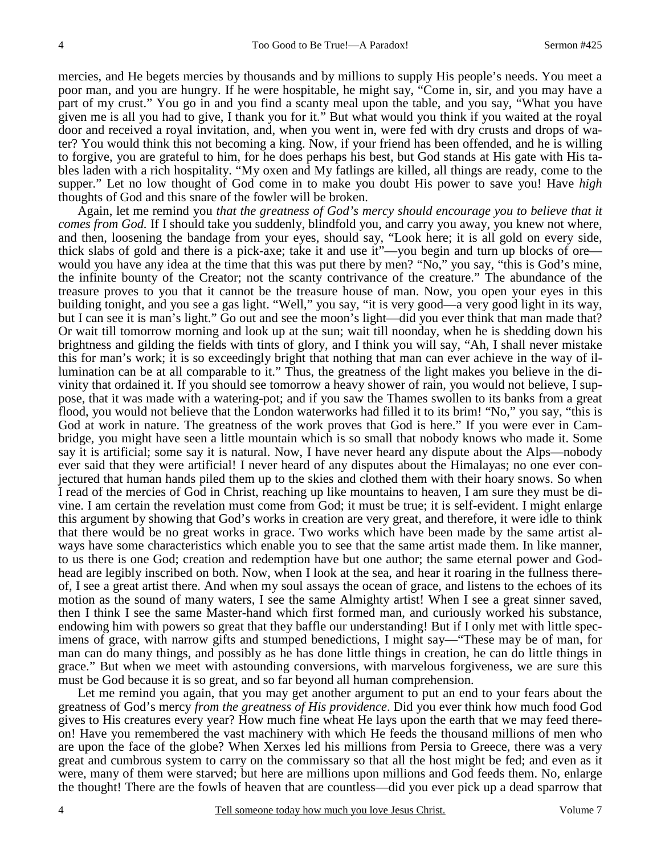mercies, and He begets mercies by thousands and by millions to supply His people's needs. You meet a poor man, and you are hungry. If he were hospitable, he might say, "Come in, sir, and you may have a part of my crust." You go in and you find a scanty meal upon the table, and you say, "What you have given me is all you had to give, I thank you for it." But what would you think if you waited at the royal door and received a royal invitation, and, when you went in, were fed with dry crusts and drops of water? You would think this not becoming a king. Now, if your friend has been offended, and he is willing to forgive, you are grateful to him, for he does perhaps his best, but God stands at His gate with His tables laden with a rich hospitality. "My oxen and My fatlings are killed, all things are ready, come to the supper." Let no low thought of God come in to make you doubt His power to save you! Have *high* thoughts of God and this snare of the fowler will be broken.

Again, let me remind you *that the greatness of God's mercy should encourage you to believe that it comes from God.* If I should take you suddenly, blindfold you, and carry you away, you knew not where, and then, loosening the bandage from your eyes, should say, "Look here; it is all gold on every side, thick slabs of gold and there is a pick-axe; take it and use it"—you begin and turn up blocks of ore would you have any idea at the time that this was put there by men? "No," you say, "this is God's mine, the infinite bounty of the Creator; not the scanty contrivance of the creature." The abundance of the treasure proves to you that it cannot be the treasure house of man. Now, you open your eyes in this building tonight, and you see a gas light. "Well," you say, "it is very good—a very good light in its way, but I can see it is man's light." Go out and see the moon's light—did you ever think that man made that? Or wait till tomorrow morning and look up at the sun; wait till noonday, when he is shedding down his brightness and gilding the fields with tints of glory, and I think you will say, "Ah, I shall never mistake this for man's work; it is so exceedingly bright that nothing that man can ever achieve in the way of illumination can be at all comparable to it." Thus, the greatness of the light makes you believe in the divinity that ordained it. If you should see tomorrow a heavy shower of rain, you would not believe, I suppose, that it was made with a watering-pot; and if you saw the Thames swollen to its banks from a great flood, you would not believe that the London waterworks had filled it to its brim! "No," you say, "this is God at work in nature. The greatness of the work proves that God is here." If you were ever in Cambridge, you might have seen a little mountain which is so small that nobody knows who made it. Some say it is artificial; some say it is natural. Now, I have never heard any dispute about the Alps—nobody ever said that they were artificial! I never heard of any disputes about the Himalayas; no one ever conjectured that human hands piled them up to the skies and clothed them with their hoary snows. So when I read of the mercies of God in Christ, reaching up like mountains to heaven, I am sure they must be divine. I am certain the revelation must come from God; it must be true; it is self-evident. I might enlarge this argument by showing that God's works in creation are very great, and therefore, it were idle to think that there would be no great works in grace. Two works which have been made by the same artist always have some characteristics which enable you to see that the same artist made them. In like manner, to us there is one God; creation and redemption have but one author; the same eternal power and Godhead are legibly inscribed on both. Now, when I look at the sea, and hear it roaring in the fullness thereof, I see a great artist there. And when my soul assays the ocean of grace, and listens to the echoes of its motion as the sound of many waters, I see the same Almighty artist! When I see a great sinner saved, then I think I see the same Master-hand which first formed man, and curiously worked his substance, endowing him with powers so great that they baffle our understanding! But if I only met with little specimens of grace, with narrow gifts and stumped benedictions, I might say—"These may be of man, for man can do many things, and possibly as he has done little things in creation, he can do little things in grace." But when we meet with astounding conversions, with marvelous forgiveness, we are sure this must be God because it is so great, and so far beyond all human comprehension.

Let me remind you again, that you may get another argument to put an end to your fears about the greatness of God's mercy *from the greatness of His providence*. Did you ever think how much food God gives to His creatures every year? How much fine wheat He lays upon the earth that we may feed thereon! Have you remembered the vast machinery with which He feeds the thousand millions of men who are upon the face of the globe? When Xerxes led his millions from Persia to Greece, there was a very great and cumbrous system to carry on the commissary so that all the host might be fed; and even as it were, many of them were starved; but here are millions upon millions and God feeds them. No, enlarge the thought! There are the fowls of heaven that are countless—did you ever pick up a dead sparrow that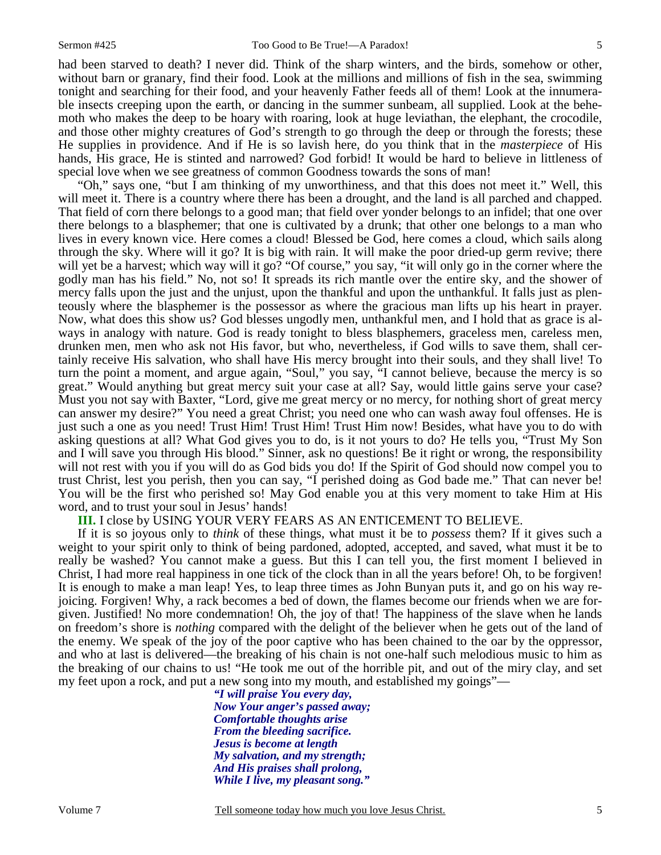had been starved to death? I never did. Think of the sharp winters, and the birds, somehow or other, without barn or granary, find their food. Look at the millions and millions of fish in the sea, swimming tonight and searching for their food, and your heavenly Father feeds all of them! Look at the innumerable insects creeping upon the earth, or dancing in the summer sunbeam, all supplied. Look at the behemoth who makes the deep to be hoary with roaring, look at huge leviathan, the elephant, the crocodile, and those other mighty creatures of God's strength to go through the deep or through the forests; these He supplies in providence. And if He is so lavish here, do you think that in the *masterpiece* of His hands, His grace, He is stinted and narrowed? God forbid! It would be hard to believe in littleness of special love when we see greatness of common Goodness towards the sons of man!

"Oh," says one, "but I am thinking of my unworthiness, and that this does not meet it." Well, this will meet it. There is a country where there has been a drought, and the land is all parched and chapped. That field of corn there belongs to a good man; that field over yonder belongs to an infidel; that one over there belongs to a blasphemer; that one is cultivated by a drunk; that other one belongs to a man who lives in every known vice. Here comes a cloud! Blessed be God, here comes a cloud, which sails along through the sky. Where will it go? It is big with rain. It will make the poor dried-up germ revive; there will yet be a harvest; which way will it go? "Of course," you say, "it will only go in the corner where the godly man has his field." No, not so! It spreads its rich mantle over the entire sky, and the shower of mercy falls upon the just and the unjust, upon the thankful and upon the unthankful. It falls just as plenteously where the blasphemer is the possessor as where the gracious man lifts up his heart in prayer. Now, what does this show us? God blesses ungodly men, unthankful men, and I hold that as grace is always in analogy with nature. God is ready tonight to bless blasphemers, graceless men, careless men, drunken men, men who ask not His favor, but who, nevertheless, if God wills to save them, shall certainly receive His salvation, who shall have His mercy brought into their souls, and they shall live! To turn the point a moment, and argue again, "Soul," you say, "I cannot believe, because the mercy is so great." Would anything but great mercy suit your case at all? Say, would little gains serve your case? Must you not say with Baxter, "Lord, give me great mercy or no mercy, for nothing short of great mercy can answer my desire?" You need a great Christ; you need one who can wash away foul offenses. He is just such a one as you need! Trust Him! Trust Him! Trust Him now! Besides, what have you to do with asking questions at all? What God gives you to do, is it not yours to do? He tells you, "Trust My Son and I will save you through His blood." Sinner, ask no questions! Be it right or wrong, the responsibility will not rest with you if you will do as God bids you do! If the Spirit of God should now compel you to trust Christ, lest you perish, then you can say, "I perished doing as God bade me." That can never be! You will be the first who perished so! May God enable you at this very moment to take Him at His word, and to trust your soul in Jesus' hands!

# **III.** I close by USING YOUR VERY FEARS AS AN ENTICEMENT TO BELIEVE.

If it is so joyous only to *think* of these things, what must it be to *possess* them? If it gives such a weight to your spirit only to think of being pardoned, adopted, accepted, and saved, what must it be to really be washed? You cannot make a guess. But this I can tell you, the first moment I believed in Christ, I had more real happiness in one tick of the clock than in all the years before! Oh, to be forgiven! It is enough to make a man leap! Yes, to leap three times as John Bunyan puts it, and go on his way rejoicing. Forgiven! Why, a rack becomes a bed of down, the flames become our friends when we are forgiven. Justified! No more condemnation! Oh, the joy of that! The happiness of the slave when he lands on freedom's shore is *nothing* compared with the delight of the believer when he gets out of the land of the enemy. We speak of the joy of the poor captive who has been chained to the oar by the oppressor, and who at last is delivered—the breaking of his chain is not one-half such melodious music to him as the breaking of our chains to us! "He took me out of the horrible pit, and out of the miry clay, and set my feet upon a rock, and put a new song into my mouth, and established my goings"—

*"I will praise You every day, Now Your anger's passed away; Comfortable thoughts arise From the bleeding sacrifice. Jesus is become at length My salvation, and my strength; And His praises shall prolong, While I live, my pleasant song."* 

Volume 7 Tell someone today how much you love Jesus Christ.